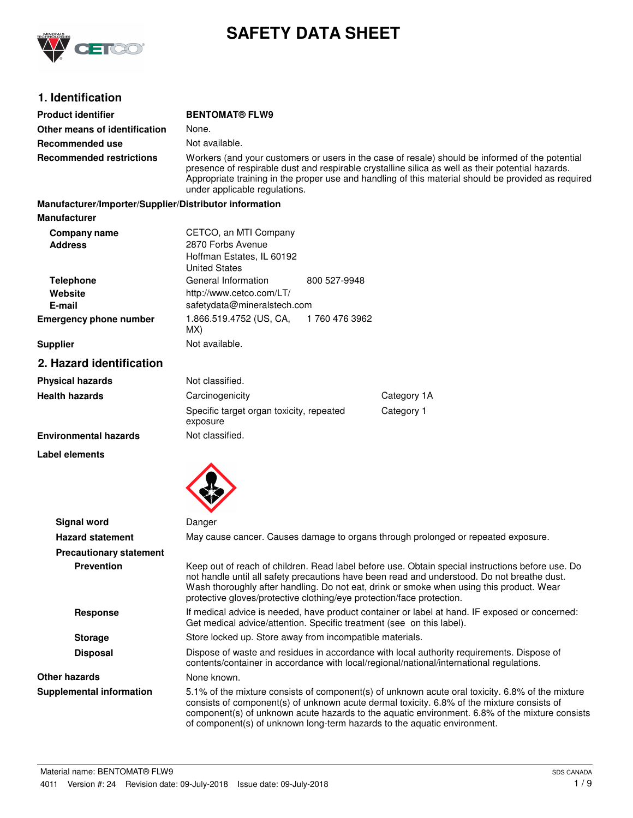

# **SAFETY DATA SHEET**

# **1. Identification**

| <b>Product identifier</b>                              | <b>BENTOMAT® FLW9</b>                                                                                                                                                                                                                                                                                                                                                |               |                                                                                                                                                                                                                                                                                                  |
|--------------------------------------------------------|----------------------------------------------------------------------------------------------------------------------------------------------------------------------------------------------------------------------------------------------------------------------------------------------------------------------------------------------------------------------|---------------|--------------------------------------------------------------------------------------------------------------------------------------------------------------------------------------------------------------------------------------------------------------------------------------------------|
| Other means of identification                          | None.                                                                                                                                                                                                                                                                                                                                                                |               |                                                                                                                                                                                                                                                                                                  |
| Recommended use                                        | Not available.                                                                                                                                                                                                                                                                                                                                                       |               |                                                                                                                                                                                                                                                                                                  |
| <b>Recommended restrictions</b>                        | Workers (and your customers or users in the case of resale) should be informed of the potential<br>presence of respirable dust and respirable crystalline silica as well as their potential hazards.<br>Appropriate training in the proper use and handling of this material should be provided as required<br>under applicable regulations.                         |               |                                                                                                                                                                                                                                                                                                  |
| Manufacturer/Importer/Supplier/Distributor information |                                                                                                                                                                                                                                                                                                                                                                      |               |                                                                                                                                                                                                                                                                                                  |
| <b>Manufacturer</b>                                    |                                                                                                                                                                                                                                                                                                                                                                      |               |                                                                                                                                                                                                                                                                                                  |
| Company name<br><b>Address</b>                         | CETCO, an MTI Company<br>2870 Forbs Avenue<br>Hoffman Estates, IL 60192<br><b>United States</b>                                                                                                                                                                                                                                                                      |               |                                                                                                                                                                                                                                                                                                  |
| <b>Telephone</b>                                       | General Information                                                                                                                                                                                                                                                                                                                                                  | 800 527-9948  |                                                                                                                                                                                                                                                                                                  |
| Website                                                | http://www.cetco.com/LT/                                                                                                                                                                                                                                                                                                                                             |               |                                                                                                                                                                                                                                                                                                  |
| E-mail                                                 | safetydata@mineralstech.com                                                                                                                                                                                                                                                                                                                                          |               |                                                                                                                                                                                                                                                                                                  |
| <b>Emergency phone number</b>                          | 1.866.519.4752 (US, CA,<br>MX)                                                                                                                                                                                                                                                                                                                                       | 1760 476 3962 |                                                                                                                                                                                                                                                                                                  |
| <b>Supplier</b>                                        | Not available.                                                                                                                                                                                                                                                                                                                                                       |               |                                                                                                                                                                                                                                                                                                  |
| 2. Hazard identification                               |                                                                                                                                                                                                                                                                                                                                                                      |               |                                                                                                                                                                                                                                                                                                  |
| <b>Physical hazards</b>                                | Not classified.                                                                                                                                                                                                                                                                                                                                                      |               |                                                                                                                                                                                                                                                                                                  |
| <b>Health hazards</b>                                  | Carcinogenicity                                                                                                                                                                                                                                                                                                                                                      |               | Category 1A                                                                                                                                                                                                                                                                                      |
|                                                        | Specific target organ toxicity, repeated<br>exposure                                                                                                                                                                                                                                                                                                                 |               | Category 1                                                                                                                                                                                                                                                                                       |
| <b>Environmental hazards</b>                           | Not classified.                                                                                                                                                                                                                                                                                                                                                      |               |                                                                                                                                                                                                                                                                                                  |
| Label elements                                         |                                                                                                                                                                                                                                                                                                                                                                      |               |                                                                                                                                                                                                                                                                                                  |
|                                                        |                                                                                                                                                                                                                                                                                                                                                                      |               |                                                                                                                                                                                                                                                                                                  |
| <b>Signal word</b>                                     | Danger                                                                                                                                                                                                                                                                                                                                                               |               |                                                                                                                                                                                                                                                                                                  |
| <b>Hazard statement</b>                                |                                                                                                                                                                                                                                                                                                                                                                      |               | May cause cancer. Causes damage to organs through prolonged or repeated exposure.                                                                                                                                                                                                                |
| <b>Precautionary statement</b>                         |                                                                                                                                                                                                                                                                                                                                                                      |               |                                                                                                                                                                                                                                                                                                  |
| <b>Prevention</b>                                      | Keep out of reach of children. Read label before use. Obtain special instructions before use. Do<br>not handle until all safety precautions have been read and understood. Do not breathe dust.<br>Wash thoroughly after handling. Do not eat, drink or smoke when using this product. Wear<br>protective gloves/protective clothing/eye protection/face protection. |               |                                                                                                                                                                                                                                                                                                  |
| <b>Response</b>                                        | If medical advice is needed, have product container or label at hand. IF exposed or concerned:<br>Get medical advice/attention. Specific treatment (see on this label).                                                                                                                                                                                              |               |                                                                                                                                                                                                                                                                                                  |
| <b>Storage</b>                                         | Store locked up. Store away from incompatible materials.                                                                                                                                                                                                                                                                                                             |               |                                                                                                                                                                                                                                                                                                  |
| <b>Disposal</b>                                        |                                                                                                                                                                                                                                                                                                                                                                      |               | Dispose of waste and residues in accordance with local authority requirements. Dispose of<br>contents/container in accordance with local/regional/national/international regulations.                                                                                                            |
| <b>Other hazards</b>                                   | None known.                                                                                                                                                                                                                                                                                                                                                          |               |                                                                                                                                                                                                                                                                                                  |
| <b>Supplemental information</b>                        | of component(s) of unknown long-term hazards to the aquatic environment.                                                                                                                                                                                                                                                                                             |               | 5.1% of the mixture consists of component(s) of unknown acute oral toxicity. 6.8% of the mixture<br>consists of component(s) of unknown acute dermal toxicity. 6.8% of the mixture consists of<br>component(s) of unknown acute hazards to the aquatic environment. 6.8% of the mixture consists |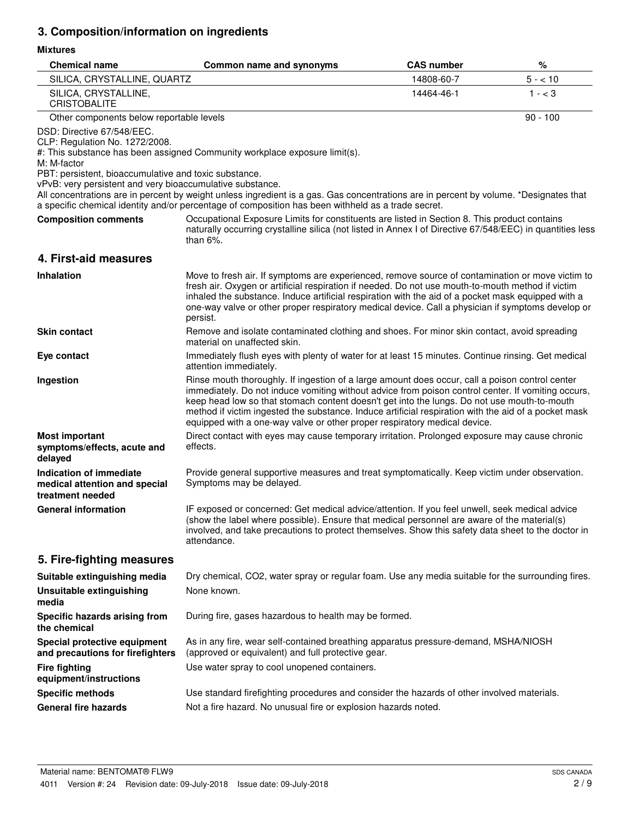# **3. Composition/information on ingredients**

## **Mixtures**

| <b>Chemical name</b>                                                                                                                                                                              | Common name and synonyms                                                                                                                                                                                                                                                                                                                                                                                                                                                                  | <b>CAS number</b> | %          |
|---------------------------------------------------------------------------------------------------------------------------------------------------------------------------------------------------|-------------------------------------------------------------------------------------------------------------------------------------------------------------------------------------------------------------------------------------------------------------------------------------------------------------------------------------------------------------------------------------------------------------------------------------------------------------------------------------------|-------------------|------------|
| SILICA, CRYSTALLINE, QUARTZ                                                                                                                                                                       |                                                                                                                                                                                                                                                                                                                                                                                                                                                                                           | 14808-60-7        | $5 - 10$   |
| SILICA, CRYSTALLINE,<br><b>CRISTOBALITE</b>                                                                                                                                                       |                                                                                                                                                                                                                                                                                                                                                                                                                                                                                           | 14464-46-1        | $1 - < 3$  |
| Other components below reportable levels                                                                                                                                                          |                                                                                                                                                                                                                                                                                                                                                                                                                                                                                           |                   | $90 - 100$ |
| DSD: Directive 67/548/EEC.<br>CLP: Regulation No. 1272/2008.<br>M: M-factor<br>PBT: persistent, bioaccumulative and toxic substance.<br>vPvB: very persistent and very bioaccumulative substance. | #: This substance has been assigned Community workplace exposure limit(s).                                                                                                                                                                                                                                                                                                                                                                                                                |                   |            |
|                                                                                                                                                                                                   | All concentrations are in percent by weight unless ingredient is a gas. Gas concentrations are in percent by volume. *Designates that<br>a specific chemical identity and/or percentage of composition has been withheld as a trade secret.                                                                                                                                                                                                                                               |                   |            |
| <b>Composition comments</b>                                                                                                                                                                       | Occupational Exposure Limits for constituents are listed in Section 8. This product contains<br>naturally occurring crystalline silica (not listed in Annex I of Directive 67/548/EEC) in quantities less<br>than $6\%$ .                                                                                                                                                                                                                                                                 |                   |            |
| 4. First-aid measures                                                                                                                                                                             |                                                                                                                                                                                                                                                                                                                                                                                                                                                                                           |                   |            |
| <b>Inhalation</b>                                                                                                                                                                                 | Move to fresh air. If symptoms are experienced, remove source of contamination or move victim to<br>fresh air. Oxygen or artificial respiration if needed. Do not use mouth-to-mouth method if victim<br>inhaled the substance. Induce artificial respiration with the aid of a pocket mask equipped with a<br>one-way valve or other proper respiratory medical device. Call a physician if symptoms develop or<br>persist.                                                              |                   |            |
| <b>Skin contact</b>                                                                                                                                                                               | Remove and isolate contaminated clothing and shoes. For minor skin contact, avoid spreading<br>material on unaffected skin.                                                                                                                                                                                                                                                                                                                                                               |                   |            |
| Eye contact                                                                                                                                                                                       | Immediately flush eyes with plenty of water for at least 15 minutes. Continue rinsing. Get medical<br>attention immediately.                                                                                                                                                                                                                                                                                                                                                              |                   |            |
| Ingestion                                                                                                                                                                                         | Rinse mouth thoroughly. If ingestion of a large amount does occur, call a poison control center<br>immediately. Do not induce vomiting without advice from poison control center. If vomiting occurs,<br>keep head low so that stomach content doesn't get into the lungs. Do not use mouth-to-mouth<br>method if victim ingested the substance. Induce artificial respiration with the aid of a pocket mask<br>equipped with a one-way valve or other proper respiratory medical device. |                   |            |
| <b>Most important</b><br>symptoms/effects, acute and<br>delayed                                                                                                                                   | Direct contact with eyes may cause temporary irritation. Prolonged exposure may cause chronic<br>effects.                                                                                                                                                                                                                                                                                                                                                                                 |                   |            |
| Indication of immediate<br>medical attention and special<br>treatment needed                                                                                                                      | Provide general supportive measures and treat symptomatically. Keep victim under observation.<br>Symptoms may be delayed.                                                                                                                                                                                                                                                                                                                                                                 |                   |            |
| <b>General information</b>                                                                                                                                                                        | IF exposed or concerned: Get medical advice/attention. If you feel unwell, seek medical advice<br>(show the label where possible). Ensure that medical personnel are aware of the material(s)<br>involved, and take precautions to protect themselves. Show this safety data sheet to the doctor in<br>attendance.                                                                                                                                                                        |                   |            |
| 5. Fire-fighting measures                                                                                                                                                                         |                                                                                                                                                                                                                                                                                                                                                                                                                                                                                           |                   |            |
| Suitable extinguishing media                                                                                                                                                                      | Dry chemical, CO2, water spray or regular foam. Use any media suitable for the surrounding fires.                                                                                                                                                                                                                                                                                                                                                                                         |                   |            |
| <b>Unsuitable extinguishing</b><br>media                                                                                                                                                          | None known.                                                                                                                                                                                                                                                                                                                                                                                                                                                                               |                   |            |
| Specific hazards arising from<br>the chemical                                                                                                                                                     | During fire, gases hazardous to health may be formed.                                                                                                                                                                                                                                                                                                                                                                                                                                     |                   |            |
| Special protective equipment<br>and precautions for firefighters                                                                                                                                  | As in any fire, wear self-contained breathing apparatus pressure-demand, MSHA/NIOSH<br>(approved or equivalent) and full protective gear.                                                                                                                                                                                                                                                                                                                                                 |                   |            |
| <b>Fire fighting</b><br>equipment/instructions                                                                                                                                                    | Use water spray to cool unopened containers.                                                                                                                                                                                                                                                                                                                                                                                                                                              |                   |            |
| <b>Specific methods</b>                                                                                                                                                                           | Use standard firefighting procedures and consider the hazards of other involved materials.                                                                                                                                                                                                                                                                                                                                                                                                |                   |            |
| <b>General fire hazards</b>                                                                                                                                                                       | Not a fire hazard. No unusual fire or explosion hazards noted.                                                                                                                                                                                                                                                                                                                                                                                                                            |                   |            |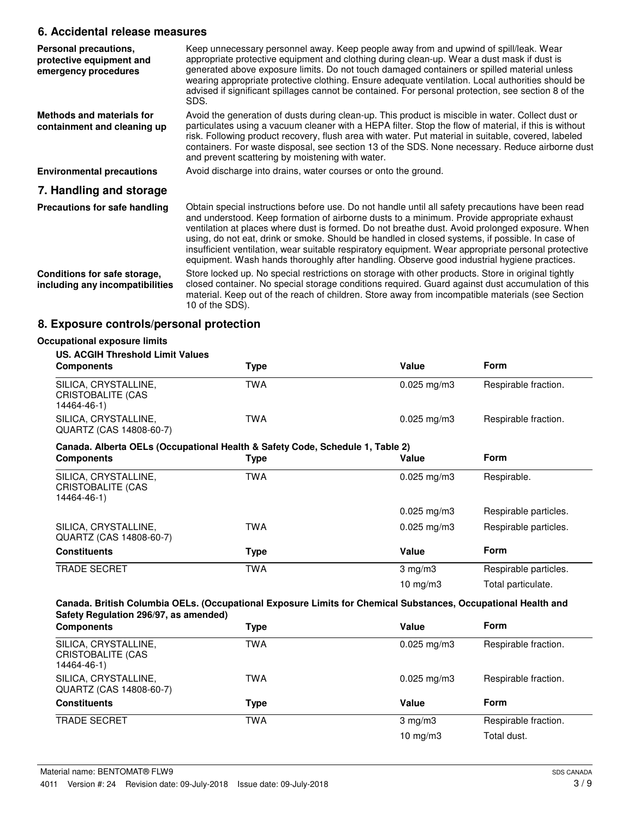## **6. Accidental release measures**

| Personal precautions,<br>protective equipment and<br>emergency procedures | Keep unnecessary personnel away. Keep people away from and upwind of spill/leak. Wear<br>appropriate protective equipment and clothing during clean-up. Wear a dust mask if dust is<br>generated above exposure limits. Do not touch damaged containers or spilled material unless<br>wearing appropriate protective clothing. Ensure adequate ventilation. Local authorities should be<br>advised if significant spillages cannot be contained. For personal protection, see section 8 of the<br>SDS.                                                                                                      |
|---------------------------------------------------------------------------|-------------------------------------------------------------------------------------------------------------------------------------------------------------------------------------------------------------------------------------------------------------------------------------------------------------------------------------------------------------------------------------------------------------------------------------------------------------------------------------------------------------------------------------------------------------------------------------------------------------|
| Methods and materials for<br>containment and cleaning up                  | Avoid the generation of dusts during clean-up. This product is miscible in water. Collect dust or<br>particulates using a vacuum cleaner with a HEPA filter. Stop the flow of material, if this is without<br>risk. Following product recovery, flush area with water. Put material in suitable, covered, labeled<br>containers. For waste disposal, see section 13 of the SDS. None necessary. Reduce airborne dust<br>and prevent scattering by moistening with water.                                                                                                                                    |
| <b>Environmental precautions</b>                                          | Avoid discharge into drains, water courses or onto the ground.                                                                                                                                                                                                                                                                                                                                                                                                                                                                                                                                              |
| 7. Handling and storage                                                   |                                                                                                                                                                                                                                                                                                                                                                                                                                                                                                                                                                                                             |
| Precautions for safe handling                                             | Obtain special instructions before use. Do not handle until all safety precautions have been read<br>and understood. Keep formation of airborne dusts to a minimum. Provide appropriate exhaust<br>ventilation at places where dust is formed. Do not breathe dust. Avoid prolonged exposure. When<br>using, do not eat, drink or smoke. Should be handled in closed systems, if possible. In case of<br>insufficient ventilation, wear suitable respiratory equipment. Wear appropriate personal protective<br>equipment. Wash hands thoroughly after handling. Observe good industrial hygiene practices. |
| Conditions for safe storage,<br>including any incompatibilities           | Store locked up. No special restrictions on storage with other products. Store in original tightly<br>closed container. No special storage conditions required. Guard against dust accumulation of this<br>material. Keep out of the reach of children. Store away from incompatible materials (see Section<br>10 of the SDS).                                                                                                                                                                                                                                                                              |

# **8. Exposure controls/personal protection**

| <b>US. ACGIH Threshold Limit Values</b>                                       |            |                         |                       |
|-------------------------------------------------------------------------------|------------|-------------------------|-----------------------|
| <b>Components</b>                                                             | Type       | Value                   | <b>Form</b>           |
| SILICA, CRYSTALLINE,<br>CRISTOBALITE (CAS<br>14464-46-1)                      | <b>TWA</b> | $0.025$ mg/m3           | Respirable fraction.  |
| SILICA, CRYSTALLINE,<br>QUARTZ (CAS 14808-60-7)                               | <b>TWA</b> | $0.025 \,\mathrm{mg/m}$ | Respirable fraction.  |
| Canada. Alberta OELs (Occupational Health & Safety Code, Schedule 1, Table 2) |            |                         |                       |
| <b>Components</b>                                                             | Type       | Value                   | <b>Form</b>           |
| SILICA, CRYSTALLINE,<br>CRISTOBALITE (CAS<br>14464-46-1)                      | <b>TWA</b> | $0.025$ mg/m3           | Respirable.           |
|                                                                               |            | $0.025$ mg/m3           | Respirable particles. |
| SILICA, CRYSTALLINE,<br>QUARTZ (CAS 14808-60-7)                               | TWA        | $0.025$ mg/m3           | Respirable particles. |
| <b>Constituents</b>                                                           | Type       | Value                   | Form                  |
| <b>TRADE SECRET</b>                                                           | <b>TWA</b> | $3 \text{ mg/m}$        | Respirable particles. |
|                                                                               |            | 10 $mg/m3$              | Total particulate.    |

| <b>Components</b>                                        | Type       | Value                   | <b>Form</b>          |
|----------------------------------------------------------|------------|-------------------------|----------------------|
| SILICA, CRYSTALLINE,<br>CRISTOBALITE (CAS<br>14464-46-1) | <b>TWA</b> | $0.025 \,\mathrm{mg/m}$ | Respirable fraction. |
| SILICA, CRYSTALLINE,<br>QUARTZ (CAS 14808-60-7)          | TWA        | $0.025 \text{ mg/m}$ 3  | Respirable fraction. |
| <b>Constituents</b>                                      | Type       | Value                   | Form                 |
| <b>TRADE SECRET</b>                                      | <b>TWA</b> | $3 \text{ mg/m}$        | Respirable fraction. |
|                                                          |            | 10 $mg/m3$              | Total dust.          |
|                                                          |            |                         |                      |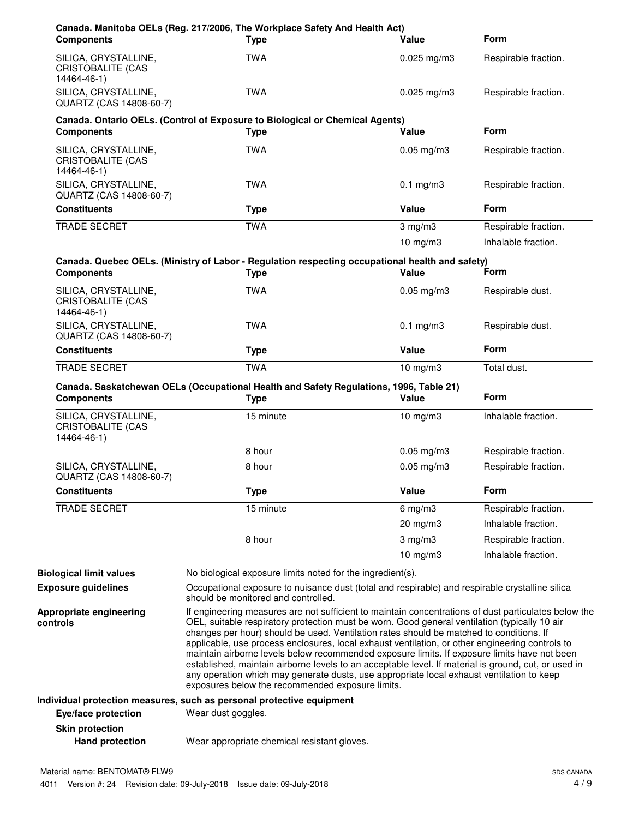| <b>Components</b>                                               | Canada. Manitoba OELs (Reg. 217/2006, The Workplace Safety And Health Act)<br><b>Type</b>                                                                                                                                                                                                                                                                                                                                                                                                                                                                                                                                                                                                                | Value           | <b>Form</b>          |
|-----------------------------------------------------------------|----------------------------------------------------------------------------------------------------------------------------------------------------------------------------------------------------------------------------------------------------------------------------------------------------------------------------------------------------------------------------------------------------------------------------------------------------------------------------------------------------------------------------------------------------------------------------------------------------------------------------------------------------------------------------------------------------------|-----------------|----------------------|
| SILICA, CRYSTALLINE,<br>CRISTOBALITE (CAS<br>14464-46-1)        | <b>TWA</b>                                                                                                                                                                                                                                                                                                                                                                                                                                                                                                                                                                                                                                                                                               | $0.025$ mg/m3   | Respirable fraction. |
| SILICA, CRYSTALLINE,<br>QUARTZ (CAS 14808-60-7)                 | <b>TWA</b>                                                                                                                                                                                                                                                                                                                                                                                                                                                                                                                                                                                                                                                                                               | $0.025$ mg/m3   | Respirable fraction. |
| <b>Components</b>                                               | Canada. Ontario OELs. (Control of Exposure to Biological or Chemical Agents)<br><b>Type</b>                                                                                                                                                                                                                                                                                                                                                                                                                                                                                                                                                                                                              | Value           | <b>Form</b>          |
| SILICA, CRYSTALLINE,<br><b>CRISTOBALITE (CAS</b><br>14464-46-1) | <b>TWA</b>                                                                                                                                                                                                                                                                                                                                                                                                                                                                                                                                                                                                                                                                                               | $0.05$ mg/m $3$ | Respirable fraction. |
| SILICA, CRYSTALLINE,<br>QUARTZ (CAS 14808-60-7)                 | <b>TWA</b>                                                                                                                                                                                                                                                                                                                                                                                                                                                                                                                                                                                                                                                                                               | $0.1$ mg/m $3$  | Respirable fraction. |
| <b>Constituents</b>                                             | <b>Type</b>                                                                                                                                                                                                                                                                                                                                                                                                                                                                                                                                                                                                                                                                                              | Value           | <b>Form</b>          |
| <b>TRADE SECRET</b>                                             | <b>TWA</b>                                                                                                                                                                                                                                                                                                                                                                                                                                                                                                                                                                                                                                                                                               | $3$ mg/m $3$    | Respirable fraction. |
|                                                                 |                                                                                                                                                                                                                                                                                                                                                                                                                                                                                                                                                                                                                                                                                                          | $10$ mg/m $3$   | Inhalable fraction.  |
| <b>Components</b>                                               | Canada. Quebec OELs. (Ministry of Labor - Regulation respecting occupational health and safety)<br><b>Type</b>                                                                                                                                                                                                                                                                                                                                                                                                                                                                                                                                                                                           | Value           | Form                 |
| SILICA, CRYSTALLINE,<br><b>CRISTOBALITE (CAS</b><br>14464-46-1) | <b>TWA</b>                                                                                                                                                                                                                                                                                                                                                                                                                                                                                                                                                                                                                                                                                               | $0.05$ mg/m $3$ | Respirable dust.     |
| SILICA, CRYSTALLINE,<br>QUARTZ (CAS 14808-60-7)                 | <b>TWA</b>                                                                                                                                                                                                                                                                                                                                                                                                                                                                                                                                                                                                                                                                                               | $0.1$ mg/m $3$  | Respirable dust.     |
| <b>Constituents</b>                                             | <b>Type</b>                                                                                                                                                                                                                                                                                                                                                                                                                                                                                                                                                                                                                                                                                              | Value           | <b>Form</b>          |
| TRADE SECRET                                                    | <b>TWA</b>                                                                                                                                                                                                                                                                                                                                                                                                                                                                                                                                                                                                                                                                                               | $10$ mg/m $3$   | Total dust.          |
| <b>Components</b>                                               | Canada. Saskatchewan OELs (Occupational Health and Safety Regulations, 1996, Table 21)<br><b>Type</b>                                                                                                                                                                                                                                                                                                                                                                                                                                                                                                                                                                                                    | Value           | <b>Form</b>          |
| SILICA, CRYSTALLINE,<br><b>CRISTOBALITE (CAS</b><br>14464-46-1) | 15 minute                                                                                                                                                                                                                                                                                                                                                                                                                                                                                                                                                                                                                                                                                                | $10$ mg/m $3$   | Inhalable fraction.  |
|                                                                 | 8 hour                                                                                                                                                                                                                                                                                                                                                                                                                                                                                                                                                                                                                                                                                                   | $0.05$ mg/m3    | Respirable fraction. |
| SILICA, CRYSTALLINE,<br>QUARTZ (CAS 14808-60-7)                 | 8 hour                                                                                                                                                                                                                                                                                                                                                                                                                                                                                                                                                                                                                                                                                                   | $0.05$ mg/m $3$ | Respirable fraction. |
| <b>Constituents</b>                                             | <b>Type</b>                                                                                                                                                                                                                                                                                                                                                                                                                                                                                                                                                                                                                                                                                              | Value           | Form                 |
| <b>TRADE SECRET</b>                                             | 15 minute                                                                                                                                                                                                                                                                                                                                                                                                                                                                                                                                                                                                                                                                                                | $6$ mg/m $3$    | Respirable fraction. |
|                                                                 |                                                                                                                                                                                                                                                                                                                                                                                                                                                                                                                                                                                                                                                                                                          | 20 mg/m3        | Inhalable fraction.  |
|                                                                 | 8 hour                                                                                                                                                                                                                                                                                                                                                                                                                                                                                                                                                                                                                                                                                                   | $3$ mg/m $3$    | Respirable fraction. |
|                                                                 |                                                                                                                                                                                                                                                                                                                                                                                                                                                                                                                                                                                                                                                                                                          | 10 $mg/m3$      | Inhalable fraction.  |
| <b>Biological limit values</b>                                  | No biological exposure limits noted for the ingredient(s).                                                                                                                                                                                                                                                                                                                                                                                                                                                                                                                                                                                                                                               |                 |                      |
| <b>Exposure guidelines</b>                                      | Occupational exposure to nuisance dust (total and respirable) and respirable crystalline silica<br>should be monitored and controlled.                                                                                                                                                                                                                                                                                                                                                                                                                                                                                                                                                                   |                 |                      |
| Appropriate engineering<br>controls                             | If engineering measures are not sufficient to maintain concentrations of dust particulates below the<br>OEL, suitable respiratory protection must be worn. Good general ventilation (typically 10 air<br>changes per hour) should be used. Ventilation rates should be matched to conditions. If<br>applicable, use process enclosures, local exhaust ventilation, or other engineering controls to<br>maintain airborne levels below recommended exposure limits. If exposure limits have not been<br>established, maintain airborne levels to an acceptable level. If material is ground, cut, or used in<br>any operation which may generate dusts, use appropriate local exhaust ventilation to keep |                 |                      |
|                                                                 | exposures below the recommended exposure limits.                                                                                                                                                                                                                                                                                                                                                                                                                                                                                                                                                                                                                                                         |                 |                      |
| Eye/face protection                                             | Individual protection measures, such as personal protective equipment<br>Wear dust goggles.                                                                                                                                                                                                                                                                                                                                                                                                                                                                                                                                                                                                              |                 |                      |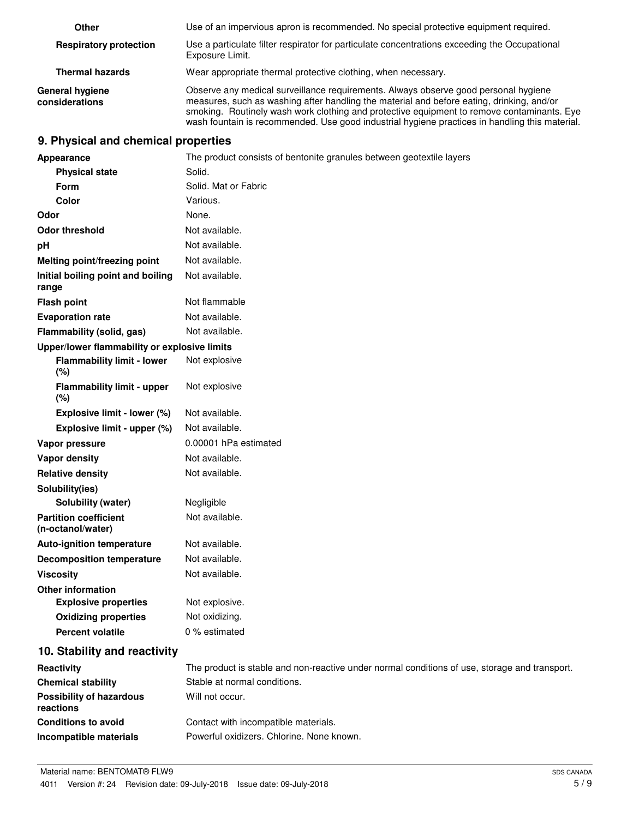| Other                                    | Use of an impervious apron is recommended. No special protective equipment required.                                                                                                                                                                                                                                                                                             |
|------------------------------------------|----------------------------------------------------------------------------------------------------------------------------------------------------------------------------------------------------------------------------------------------------------------------------------------------------------------------------------------------------------------------------------|
| <b>Respiratory protection</b>            | Use a particulate filter respirator for particulate concentrations exceeding the Occupational<br>Exposure Limit.                                                                                                                                                                                                                                                                 |
| <b>Thermal hazards</b>                   | Wear appropriate thermal protective clothing, when necessary.                                                                                                                                                                                                                                                                                                                    |
| <b>General hygiene</b><br>considerations | Observe any medical surveillance requirements. Always observe good personal hygiene<br>measures, such as washing after handling the material and before eating, drinking, and/or<br>smoking. Routinely wash work clothing and protective equipment to remove contaminants. Eye<br>wash fountain is recommended. Use good industrial hygiene practices in handling this material. |

# **9. Physical and chemical properties**

| Appearance                                        | The product consists of bentonite granules between geotextile layers                          |
|---------------------------------------------------|-----------------------------------------------------------------------------------------------|
| <b>Physical state</b>                             | Solid.                                                                                        |
| Form                                              | Solid. Mat or Fabric                                                                          |
| Color                                             | Various.                                                                                      |
| Odor                                              | None.                                                                                         |
| <b>Odor threshold</b>                             | Not available.                                                                                |
| pH                                                | Not available.                                                                                |
| Melting point/freezing point                      | Not available.                                                                                |
| Initial boiling point and boiling<br>range        | Not available.                                                                                |
| <b>Flash point</b>                                | Not flammable                                                                                 |
| <b>Evaporation rate</b>                           | Not available.                                                                                |
| Flammability (solid, gas)                         | Not available.                                                                                |
| Upper/lower flammability or explosive limits      |                                                                                               |
| <b>Flammability limit - lower</b><br>(%)          | Not explosive                                                                                 |
| <b>Flammability limit - upper</b><br>(%)          | Not explosive                                                                                 |
| Explosive limit - lower (%)                       | Not available.                                                                                |
| Explosive limit - upper (%)                       | Not available.                                                                                |
| Vapor pressure                                    | 0.00001 hPa estimated                                                                         |
| Vapor density                                     | Not available.                                                                                |
| <b>Relative density</b>                           | Not available.                                                                                |
| Solubility(ies)                                   |                                                                                               |
| Solubility (water)                                | Negligible                                                                                    |
| <b>Partition coefficient</b><br>(n-octanol/water) | Not available.                                                                                |
| <b>Auto-ignition temperature</b>                  | Not available.                                                                                |
| <b>Decomposition temperature</b>                  | Not available.                                                                                |
| <b>Viscosity</b>                                  | Not available.                                                                                |
| <b>Other information</b>                          |                                                                                               |
| <b>Explosive properties</b>                       | Not explosive.                                                                                |
| <b>Oxidizing properties</b>                       | Not oxidizing.                                                                                |
| <b>Percent volatile</b>                           | 0 % estimated                                                                                 |
| 10. Stability and reactivity                      |                                                                                               |
| Reactivity                                        | The product is stable and non-reactive under normal conditions of use, storage and transport. |
| <b>Chemical stability</b>                         | Stable at normal conditions.                                                                  |
| <b>Possibility of hazardous</b><br>reactions      | Will not occur.                                                                               |
| <b>Conditions to avoid</b>                        | Contact with incompatible materials.                                                          |
| Incompatible materials                            | Powerful oxidizers. Chlorine. None known.                                                     |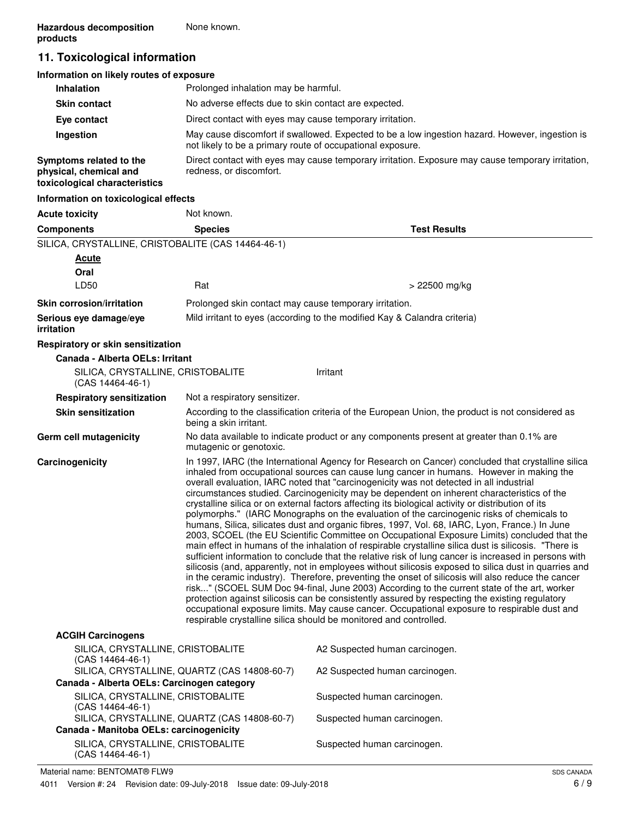# **11. Toxicological information**

| Information on likely routes of exposure                                           |                                                                                                                                                               |
|------------------------------------------------------------------------------------|---------------------------------------------------------------------------------------------------------------------------------------------------------------|
| <b>Inhalation</b>                                                                  | Prolonged inhalation may be harmful.                                                                                                                          |
| <b>Skin contact</b>                                                                | No adverse effects due to skin contact are expected.                                                                                                          |
| Eye contact                                                                        | Direct contact with eyes may cause temporary irritation.                                                                                                      |
| Ingestion                                                                          | May cause discomfort if swallowed. Expected to be a low ingestion hazard. However, ingestion is<br>not likely to be a primary route of occupational exposure. |
| Symptoms related to the<br>physical, chemical and<br>toxicological characteristics | Direct contact with eyes may cause temporary irritation. Exposure may cause temporary irritation,<br>redness, or discomfort.                                  |
| Information on toxicological effects                                               |                                                                                                                                                               |

| <b>Acute toxicity</b>                                   | Not known.                                                                                                                                                                                                                                                                                                                                                                                                                                                                                                                                                                                                                                                                                                                                                                                                                                                                                                                                                                                                                                                                                                                                                                                                                                                                                                                                                                                                                                                                                                                                                                                         |                                                                                                  |
|---------------------------------------------------------|----------------------------------------------------------------------------------------------------------------------------------------------------------------------------------------------------------------------------------------------------------------------------------------------------------------------------------------------------------------------------------------------------------------------------------------------------------------------------------------------------------------------------------------------------------------------------------------------------------------------------------------------------------------------------------------------------------------------------------------------------------------------------------------------------------------------------------------------------------------------------------------------------------------------------------------------------------------------------------------------------------------------------------------------------------------------------------------------------------------------------------------------------------------------------------------------------------------------------------------------------------------------------------------------------------------------------------------------------------------------------------------------------------------------------------------------------------------------------------------------------------------------------------------------------------------------------------------------------|--------------------------------------------------------------------------------------------------|
| <b>Components</b>                                       | <b>Species</b>                                                                                                                                                                                                                                                                                                                                                                                                                                                                                                                                                                                                                                                                                                                                                                                                                                                                                                                                                                                                                                                                                                                                                                                                                                                                                                                                                                                                                                                                                                                                                                                     | <b>Test Results</b>                                                                              |
| SILICA, CRYSTALLINE, CRISTOBALITE (CAS 14464-46-1)      |                                                                                                                                                                                                                                                                                                                                                                                                                                                                                                                                                                                                                                                                                                                                                                                                                                                                                                                                                                                                                                                                                                                                                                                                                                                                                                                                                                                                                                                                                                                                                                                                    |                                                                                                  |
| <b>Acute</b>                                            |                                                                                                                                                                                                                                                                                                                                                                                                                                                                                                                                                                                                                                                                                                                                                                                                                                                                                                                                                                                                                                                                                                                                                                                                                                                                                                                                                                                                                                                                                                                                                                                                    |                                                                                                  |
| Oral                                                    |                                                                                                                                                                                                                                                                                                                                                                                                                                                                                                                                                                                                                                                                                                                                                                                                                                                                                                                                                                                                                                                                                                                                                                                                                                                                                                                                                                                                                                                                                                                                                                                                    |                                                                                                  |
| LD50                                                    | Rat                                                                                                                                                                                                                                                                                                                                                                                                                                                                                                                                                                                                                                                                                                                                                                                                                                                                                                                                                                                                                                                                                                                                                                                                                                                                                                                                                                                                                                                                                                                                                                                                | > 22500 mg/kg                                                                                    |
| <b>Skin corrosion/irritation</b>                        | Prolonged skin contact may cause temporary irritation.                                                                                                                                                                                                                                                                                                                                                                                                                                                                                                                                                                                                                                                                                                                                                                                                                                                                                                                                                                                                                                                                                                                                                                                                                                                                                                                                                                                                                                                                                                                                             |                                                                                                  |
| Serious eye damage/eye<br><i>irritation</i>             |                                                                                                                                                                                                                                                                                                                                                                                                                                                                                                                                                                                                                                                                                                                                                                                                                                                                                                                                                                                                                                                                                                                                                                                                                                                                                                                                                                                                                                                                                                                                                                                                    | Mild irritant to eyes (according to the modified Kay & Calandra criteria)                        |
| Respiratory or skin sensitization                       |                                                                                                                                                                                                                                                                                                                                                                                                                                                                                                                                                                                                                                                                                                                                                                                                                                                                                                                                                                                                                                                                                                                                                                                                                                                                                                                                                                                                                                                                                                                                                                                                    |                                                                                                  |
| Canada - Alberta OELs: Irritant                         |                                                                                                                                                                                                                                                                                                                                                                                                                                                                                                                                                                                                                                                                                                                                                                                                                                                                                                                                                                                                                                                                                                                                                                                                                                                                                                                                                                                                                                                                                                                                                                                                    |                                                                                                  |
| SILICA, CRYSTALLINE, CRISTOBALITE<br>$(CAS 14464-46-1)$ |                                                                                                                                                                                                                                                                                                                                                                                                                                                                                                                                                                                                                                                                                                                                                                                                                                                                                                                                                                                                                                                                                                                                                                                                                                                                                                                                                                                                                                                                                                                                                                                                    | Irritant                                                                                         |
| <b>Respiratory sensitization</b>                        | Not a respiratory sensitizer.                                                                                                                                                                                                                                                                                                                                                                                                                                                                                                                                                                                                                                                                                                                                                                                                                                                                                                                                                                                                                                                                                                                                                                                                                                                                                                                                                                                                                                                                                                                                                                      |                                                                                                  |
| <b>Skin sensitization</b>                               | being a skin irritant.                                                                                                                                                                                                                                                                                                                                                                                                                                                                                                                                                                                                                                                                                                                                                                                                                                                                                                                                                                                                                                                                                                                                                                                                                                                                                                                                                                                                                                                                                                                                                                             | According to the classification criteria of the European Union, the product is not considered as |
| Germ cell mutagenicity                                  | mutagenic or genotoxic.                                                                                                                                                                                                                                                                                                                                                                                                                                                                                                                                                                                                                                                                                                                                                                                                                                                                                                                                                                                                                                                                                                                                                                                                                                                                                                                                                                                                                                                                                                                                                                            | No data available to indicate product or any components present at greater than 0.1% are         |
| Carcinogenicity                                         | In 1997, IARC (the International Agency for Research on Cancer) concluded that crystalline silica<br>inhaled from occupational sources can cause lung cancer in humans. However in making the<br>overall evaluation, IARC noted that "carcinogenicity was not detected in all industrial<br>circumstances studied. Carcinogenicity may be dependent on inherent characteristics of the<br>crystalline silica or on external factors affecting its biological activity or distribution of its<br>polymorphs." (IARC Monographs on the evaluation of the carcinogenic risks of chemicals to<br>humans, Silica, silicates dust and organic fibres, 1997, Vol. 68, IARC, Lyon, France.) In June<br>2003, SCOEL (the EU Scientific Committee on Occupational Exposure Limits) concluded that the<br>main effect in humans of the inhalation of respirable crystalline silica dust is silicosis. "There is<br>sufficient information to conclude that the relative risk of lung cancer is increased in persons with<br>silicosis (and, apparently, not in employees without silicosis exposed to silica dust in quarries and<br>in the ceramic industry). Therefore, preventing the onset of silicosis will also reduce the cancer<br>risk" (SCOEL SUM Doc 94-final, June 2003) According to the current state of the art, worker<br>protection against silicosis can be consistently assured by respecting the existing regulatory<br>occupational exposure limits. May cause cancer. Occupational exposure to respirable dust and<br>respirable crystalline silica should be monitored and controlled. |                                                                                                  |
| <b>ACGIH Carcinogens</b>                                |                                                                                                                                                                                                                                                                                                                                                                                                                                                                                                                                                                                                                                                                                                                                                                                                                                                                                                                                                                                                                                                                                                                                                                                                                                                                                                                                                                                                                                                                                                                                                                                                    |                                                                                                  |
| SILICA, CRYSTALLINE, CRISTOBALITE<br>$(CAS 14464-46-1)$ |                                                                                                                                                                                                                                                                                                                                                                                                                                                                                                                                                                                                                                                                                                                                                                                                                                                                                                                                                                                                                                                                                                                                                                                                                                                                                                                                                                                                                                                                                                                                                                                                    | A2 Suspected human carcinogen.                                                                   |
| Canada - Alberta OELs: Carcinogen category              | SILICA, CRYSTALLINE, QUARTZ (CAS 14808-60-7)                                                                                                                                                                                                                                                                                                                                                                                                                                                                                                                                                                                                                                                                                                                                                                                                                                                                                                                                                                                                                                                                                                                                                                                                                                                                                                                                                                                                                                                                                                                                                       | A2 Suspected human carcinogen.                                                                   |
| SILICA, CRYSTALLINE, CRISTOBALITE                       |                                                                                                                                                                                                                                                                                                                                                                                                                                                                                                                                                                                                                                                                                                                                                                                                                                                                                                                                                                                                                                                                                                                                                                                                                                                                                                                                                                                                                                                                                                                                                                                                    | Suspected human carcinogen.                                                                      |
| $(CAS 14464-46-1)$                                      | SILICA, CRYSTALLINE, QUARTZ (CAS 14808-60-7)                                                                                                                                                                                                                                                                                                                                                                                                                                                                                                                                                                                                                                                                                                                                                                                                                                                                                                                                                                                                                                                                                                                                                                                                                                                                                                                                                                                                                                                                                                                                                       | Suspected human carcinogen.                                                                      |
| Canada - Manitoba OELs: carcinogenicity                 |                                                                                                                                                                                                                                                                                                                                                                                                                                                                                                                                                                                                                                                                                                                                                                                                                                                                                                                                                                                                                                                                                                                                                                                                                                                                                                                                                                                                                                                                                                                                                                                                    |                                                                                                  |
| SILICA, CRYSTALLINE, CRISTOBALITE                       |                                                                                                                                                                                                                                                                                                                                                                                                                                                                                                                                                                                                                                                                                                                                                                                                                                                                                                                                                                                                                                                                                                                                                                                                                                                                                                                                                                                                                                                                                                                                                                                                    | Suspected human carcinogen.                                                                      |

SILICA, CRYSTALLINE, CRISTOBALITE (CAS 14464-46-1)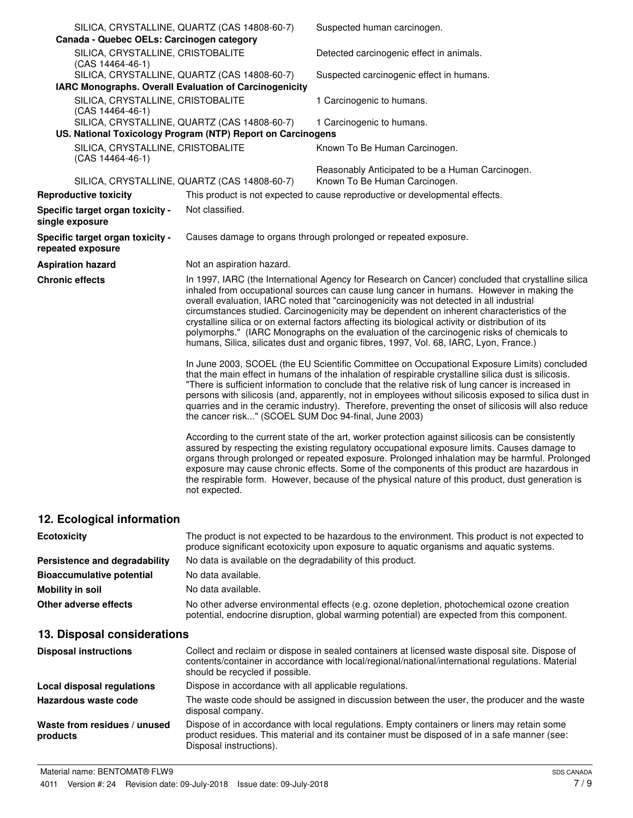| Canada - Quebec OELs: Carcinogen category              | SILICA, CRYSTALLINE, QUARTZ (CAS 14808-60-7)                                                                | Suspected human carcinogen.                                                                                                                                                                                                                                                                                                                                                                                                                                                                                                                                                                                                                                                         |
|--------------------------------------------------------|-------------------------------------------------------------------------------------------------------------|-------------------------------------------------------------------------------------------------------------------------------------------------------------------------------------------------------------------------------------------------------------------------------------------------------------------------------------------------------------------------------------------------------------------------------------------------------------------------------------------------------------------------------------------------------------------------------------------------------------------------------------------------------------------------------------|
| SILICA, CRYSTALLINE, CRISTOBALITE<br>(CAS 14464-46-1)  |                                                                                                             | Detected carcinogenic effect in animals.                                                                                                                                                                                                                                                                                                                                                                                                                                                                                                                                                                                                                                            |
| IARC Monographs. Overall Evaluation of Carcinogenicity | SILICA, CRYSTALLINE, QUARTZ (CAS 14808-60-7)                                                                | Suspected carcinogenic effect in humans.                                                                                                                                                                                                                                                                                                                                                                                                                                                                                                                                                                                                                                            |
| SILICA, CRYSTALLINE, CRISTOBALITE<br>(CAS 14464-46-1)  |                                                                                                             | 1 Carcinogenic to humans.                                                                                                                                                                                                                                                                                                                                                                                                                                                                                                                                                                                                                                                           |
|                                                        | SILICA, CRYSTALLINE, QUARTZ (CAS 14808-60-7)<br>US. National Toxicology Program (NTP) Report on Carcinogens | 1 Carcinogenic to humans.                                                                                                                                                                                                                                                                                                                                                                                                                                                                                                                                                                                                                                                           |
| SILICA, CRYSTALLINE, CRISTOBALITE<br>(CAS 14464-46-1)  |                                                                                                             | Known To Be Human Carcinogen.                                                                                                                                                                                                                                                                                                                                                                                                                                                                                                                                                                                                                                                       |
|                                                        | SILICA, CRYSTALLINE, QUARTZ (CAS 14808-60-7)                                                                | Reasonably Anticipated to be a Human Carcinogen.<br>Known To Be Human Carcinogen.                                                                                                                                                                                                                                                                                                                                                                                                                                                                                                                                                                                                   |
| <b>Reproductive toxicity</b>                           |                                                                                                             | This product is not expected to cause reproductive or developmental effects.                                                                                                                                                                                                                                                                                                                                                                                                                                                                                                                                                                                                        |
| Specific target organ toxicity -<br>single exposure    | Not classified.                                                                                             |                                                                                                                                                                                                                                                                                                                                                                                                                                                                                                                                                                                                                                                                                     |
| Specific target organ toxicity -<br>repeated exposure  |                                                                                                             | Causes damage to organs through prolonged or repeated exposure.                                                                                                                                                                                                                                                                                                                                                                                                                                                                                                                                                                                                                     |
| <b>Aspiration hazard</b>                               | Not an aspiration hazard.                                                                                   |                                                                                                                                                                                                                                                                                                                                                                                                                                                                                                                                                                                                                                                                                     |
| <b>Chronic effects</b>                                 |                                                                                                             | In 1997, IARC (the International Agency for Research on Cancer) concluded that crystalline silica<br>inhaled from occupational sources can cause lung cancer in humans. However in making the<br>overall evaluation, IARC noted that "carcinogenicity was not detected in all industrial<br>circumstances studied. Carcinogenicity may be dependent on inherent characteristics of the<br>crystalline silica or on external factors affecting its biological activity or distribution of its<br>polymorphs." (IARC Monographs on the evaluation of the carcinogenic risks of chemicals to<br>humans, Silica, silicates dust and organic fibres, 1997, Vol. 68, IARC, Lyon, France.) |
|                                                        | the cancer risk" (SCOEL SUM Doc 94-final, June 2003)                                                        | In June 2003, SCOEL (the EU Scientific Committee on Occupational Exposure Limits) concluded<br>that the main effect in humans of the inhalation of respirable crystalline silica dust is silicosis.<br>"There is sufficient information to conclude that the relative risk of lung cancer is increased in<br>persons with silicosis (and, apparently, not in employees without silicosis exposed to silica dust in<br>quarries and in the ceramic industry). Therefore, preventing the onset of silicosis will also reduce                                                                                                                                                          |
|                                                        | not expected.                                                                                               | According to the current state of the art, worker protection against silicosis can be consistently<br>assured by respecting the existing regulatory occupational exposure limits. Causes damage to<br>organs through prolonged or repeated exposure. Prolonged inhalation may be harmful. Prolonged<br>exposure may cause chronic effects. Some of the components of this product are hazardous in<br>the respirable form. However, because of the physical nature of this product, dust generation is                                                                                                                                                                              |
| 12. Ecological information                             |                                                                                                             |                                                                                                                                                                                                                                                                                                                                                                                                                                                                                                                                                                                                                                                                                     |

| <b>Ecotoxicity</b>               | The product is not expected to be hazardous to the environment. This product is not expected to<br>produce significant ecotoxicity upon exposure to aquatic organisms and aquatic systems. |
|----------------------------------|--------------------------------------------------------------------------------------------------------------------------------------------------------------------------------------------|
| Persistence and degradability    | No data is available on the degradability of this product.                                                                                                                                 |
| <b>Bioaccumulative potential</b> | No data available.                                                                                                                                                                         |
| Mobility in soil                 | No data available.                                                                                                                                                                         |
| Other adverse effects            | No other adverse environmental effects (e.g. ozone depletion, photochemical ozone creation<br>potential, endocrine disruption, global warming potential) are expected from this component. |

# **13. Disposal considerations**

| <b>Disposal instructions</b>             | Collect and reclaim or dispose in sealed containers at licensed waste disposal site. Dispose of<br>contents/container in accordance with local/regional/national/international regulations. Material<br>should be recycled if possible. |
|------------------------------------------|-----------------------------------------------------------------------------------------------------------------------------------------------------------------------------------------------------------------------------------------|
| Local disposal regulations               | Dispose in accordance with all applicable regulations.                                                                                                                                                                                  |
| Hazardous waste code                     | The waste code should be assigned in discussion between the user, the producer and the waste<br>disposal company.                                                                                                                       |
| Waste from residues / unused<br>products | Dispose of in accordance with local regulations. Empty containers or liners may retain some<br>product residues. This material and its container must be disposed of in a safe manner (see:<br>Disposal instructions).                  |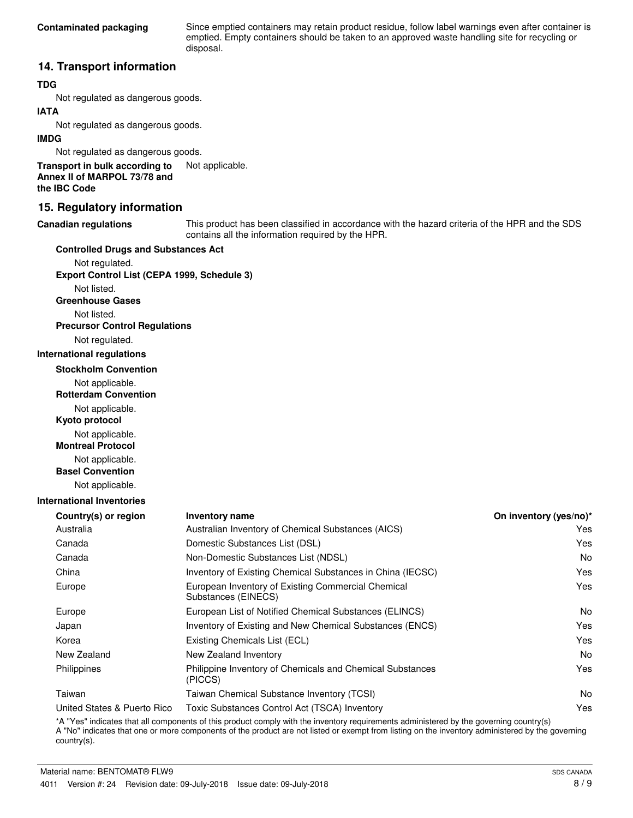Since emptied containers may retain product residue, follow label warnings even after container is emptied. Empty containers should be taken to an approved waste handling site for recycling or disposal.

## **14. Transport information**

## **TDG**

Not regulated as dangerous goods.

## **IATA**

Not regulated as dangerous goods.

### **IMDG**

Not regulated as dangerous goods.

**Transport in bulk according to** Not applicable. **Annex II of MARPOL 73/78 and the IBC Code**

## **15. Regulatory information**

#### **Canadian regulations**

This product has been classified in accordance with the hazard criteria of the HPR and the SDS contains all the information required by the HPR.

#### **Controlled Drugs and Substances Act**

Not regulated. **Export Control List (CEPA 1999, Schedule 3)**

Not listed.

**Greenhouse Gases**

Not listed.

**Precursor Control Regulations**

Not regulated.

#### **International regulations**

**Stockholm Convention**

Not applicable.

**Rotterdam Convention**

Not applicable.

**Kyoto protocol**

Not applicable.

**Montreal Protocol**

Not applicable.

**Basel Convention**

Not applicable.

### **International Inventories**

| <b>Inventory name</b>                                                     | On inventory (yes/no)* |
|---------------------------------------------------------------------------|------------------------|
| Australian Inventory of Chemical Substances (AICS)                        | Yes                    |
| Domestic Substances List (DSL)                                            | Yes                    |
| Non-Domestic Substances List (NDSL)                                       | No.                    |
| Inventory of Existing Chemical Substances in China (IECSC)                | Yes                    |
| European Inventory of Existing Commercial Chemical<br>Substances (EINECS) | Yes                    |
| European List of Notified Chemical Substances (ELINCS)                    | N <sub>o</sub>         |
| Inventory of Existing and New Chemical Substances (ENCS)                  | Yes                    |
| Existing Chemicals List (ECL)                                             | Yes                    |
| New Zealand Inventory                                                     | No.                    |
| Philippine Inventory of Chemicals and Chemical Substances<br>(PICCS)      | Yes                    |
| Taiwan Chemical Substance Inventory (TCSI)                                | No.                    |
| Toxic Substances Control Act (TSCA) Inventory                             | Yes                    |
|                                                                           |                        |

\*A "Yes" indicates that all components of this product comply with the inventory requirements administered by the governing country(s) A "No" indicates that one or more components of the product are not listed or exempt from listing on the inventory administered by the governing country(s).